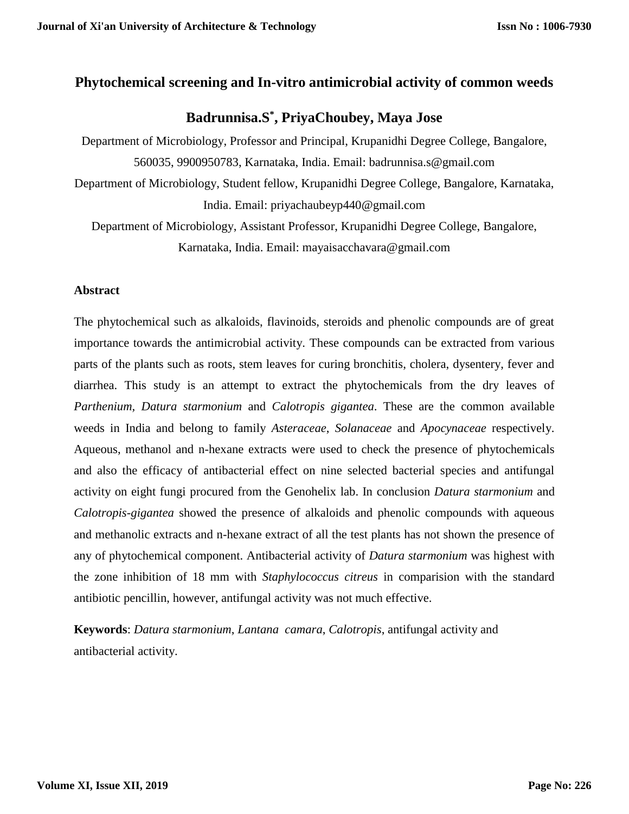## **Phytochemical screening and In-vitro antimicrobial activity of common weeds**

# **Badrunnisa.S\* , PriyaChoubey, Maya Jose**

Department of Microbiology, Professor and Principal, Krupanidhi Degree College, Bangalore, 560035, 9900950783, Karnataka, India. Email: badrunnisa.s@gmail.com Department of Microbiology, Student fellow, Krupanidhi Degree College, Bangalore, Karnataka, India. Email: priyachaubeyp440@gmail.com Department of Microbiology, Assistant Professor, Krupanidhi Degree College, Bangalore,

Karnataka, India. Email: mayaisacchavara@gmail.com

## **Abstract**

The phytochemical such as alkaloids, flavinoids, steroids and phenolic compounds are of great importance towards the antimicrobial activity. These compounds can be extracted from various parts of the plants such as roots, stem leaves for curing bronchitis, cholera, dysentery, fever and diarrhea. This study is an attempt to extract the phytochemicals from the dry leaves of *Parthenium, Datura starmonium* and *Calotropis gigantea*. These are the common available weeds in India and belong to family *Asteraceae*, *Solanaceae* and *Apocynaceae* respectively. Aqueous, methanol and n-hexane extracts were used to check the presence of phytochemicals and also the efficacy of antibacterial effect on nine selected bacterial species and antifungal activity on eight fungi procured from the Genohelix lab. In conclusion *Datura starmonium* and *Calotropis-gigantea* showed the presence of alkaloids and phenolic compounds with aqueous and methanolic extracts and n-hexane extract of all the test plants has not shown the presence of any of phytochemical component. Antibacterial activity of *Datura starmonium* was highest with the zone inhibition of 18 mm with *Staphylococcus citreus* in comparision with the standard antibiotic pencillin, however, antifungal activity was not much effective.

**Keywords**: *Datura starmonium*, *Lantana camara*, *Calotropis*, antifungal activity and antibacterial activity.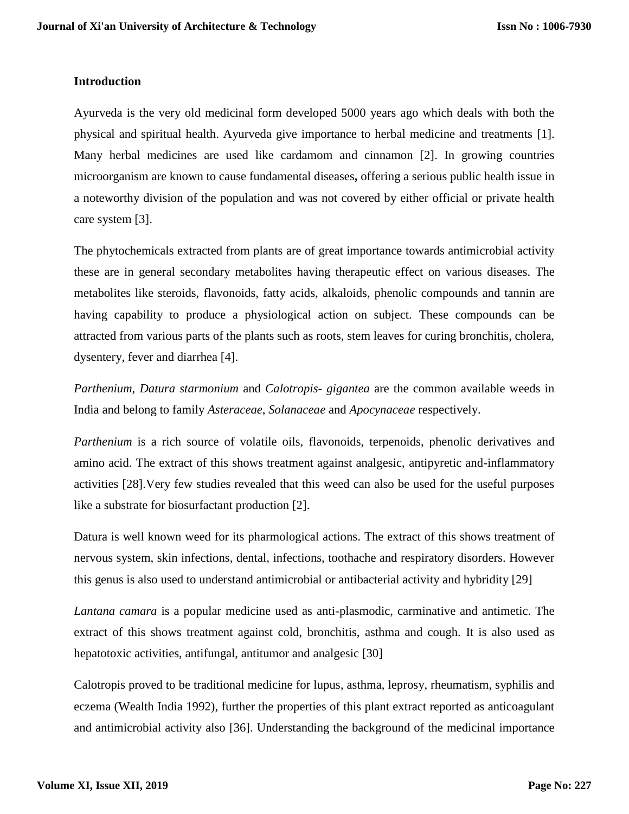### **Introduction**

Ayurveda is the very old medicinal form developed 5000 years ago which deals with both the physical and spiritual health. Ayurveda give importance to herbal medicine and treatments [1]. Many herbal medicines are used like cardamom and cinnamon [2]. In growing countries microorganism are known to cause fundamental diseases**,** offering a serious public health issue in a noteworthy division of the population and was not covered by either official or private health care system [3].

The phytochemicals extracted from plants are of great importance towards antimicrobial activity these are in general secondary metabolites having therapeutic effect on various diseases. The metabolites like steroids, flavonoids, fatty acids, alkaloids, phenolic compounds and tannin are having capability to produce a physiological action on subject. These compounds can be attracted from various parts of the plants such as roots, stem leaves for curing bronchitis, cholera, dysentery, fever and diarrhea [4].

*Parthenium, Datura starmonium* and *Calotropis- gigantea* are the common available weeds in India and belong to family *Asteraceae*, *Solanaceae* and *Apocynaceae* respectively.

*Parthenium* is a rich source of volatile oils, flavonoids, terpenoids, phenolic derivatives and amino acid. The extract of this shows treatment against analgesic, antipyretic and-inflammatory activities [28].Very few studies revealed that this weed can also be used for the useful purposes like a substrate for biosurfactant production [2].

Datura is well known weed for its pharmological actions. The extract of this shows treatment of nervous system, skin infections, dental, infections, toothache and respiratory disorders. However this genus is also used to understand antimicrobial or antibacterial activity and hybridity [29]

*Lantana camara* is a popular medicine used as anti-plasmodic, carminative and antimetic. The extract of this shows treatment against cold, bronchitis, asthma and cough. It is also used as hepatotoxic activities, antifungal, antitumor and analgesic [30]

Calotropis proved to be traditional medicine for lupus, asthma, leprosy, rheumatism, syphilis and eczema (Wealth India 1992), further the properties of this plant extract reported as anticoagulant and antimicrobial activity also [36]. Understanding the background of the medicinal importance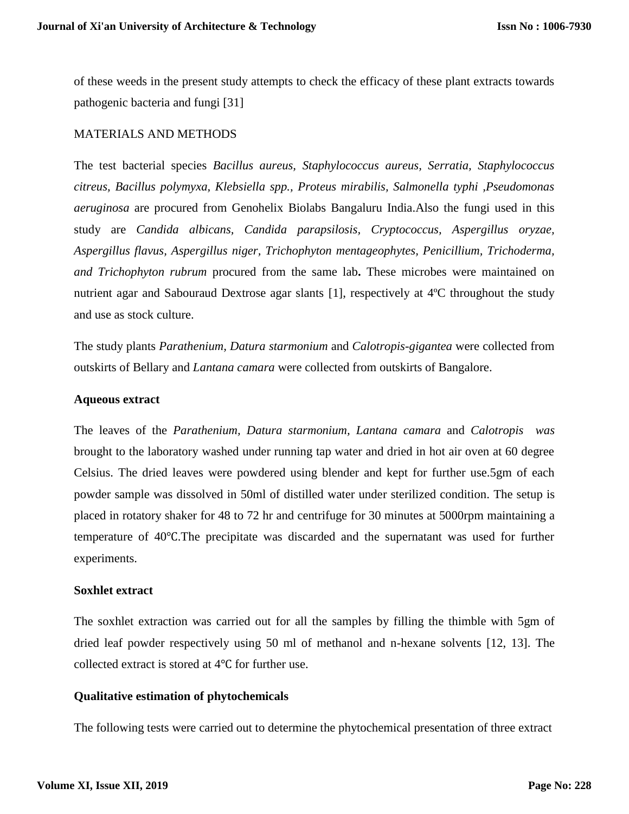of these weeds in the present study attempts to check the efficacy of these plant extracts towards pathogenic bacteria and fungi [31]

#### MATERIALS AND METHODS

The test bacterial species *Bacillus aureus, Staphylococcus aureus, Serratia, Staphylococcus citreus, Bacillus polymyxa, Klebsiella spp., Proteus mirabilis, Salmonella typhi ,Pseudomonas aeruginosa* are procured from Genohelix Biolabs Bangaluru India.Also the fungi used in this study are *Candida albicans, Candida parapsilosis, Cryptococcus, Aspergillus oryzae, Aspergillus flavus, Aspergillus niger, Trichophyton mentageophytes, Penicillium, Trichoderma, and Trichophyton rubrum* procured from the same lab**.** These microbes were maintained on nutrient agar and Sabouraud Dextrose agar slants [1], respectively at 4ºC throughout the study and use as stock culture.

The study plants *Parathenium, Datura starmonium* and *Calotropis-gigantea* were collected from outskirts of Bellary and *Lantana camara* were collected from outskirts of Bangalore.

#### **Aqueous extract**

The leaves of the *Parathenium, Datura starmonium, Lantana camara* and *Calotropis was* brought to the laboratory washed under running tap water and dried in hot air oven at 60 degree Celsius. The dried leaves were powdered using blender and kept for further use.5gm of each powder sample was dissolved in 50ml of distilled water under sterilized condition. The setup is placed in rotatory shaker for 48 to 72 hr and centrifuge for 30 minutes at 5000rpm maintaining a temperature of 40℃.The precipitate was discarded and the supernatant was used for further experiments.

#### **Soxhlet extract**

The soxhlet extraction was carried out for all the samples by filling the thimble with 5gm of dried leaf powder respectively using 50 ml of methanol and n-hexane solvents [12, 13]. The collected extract is stored at 4℃ for further use.

## **Qualitative estimation of phytochemicals**

The following tests were carried out to determine the phytochemical presentation of three extract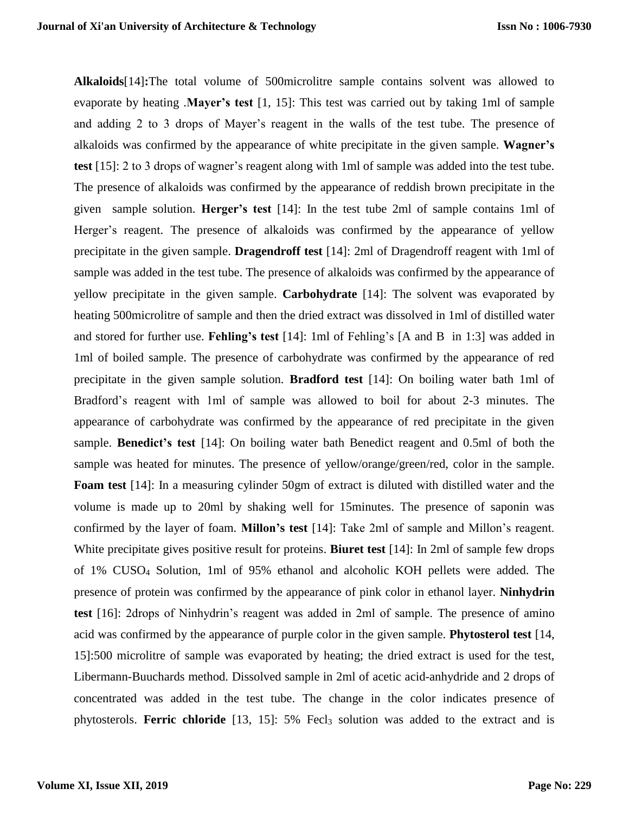**Alkaloids**[14]**:**The total volume of 500microlitre sample contains solvent was allowed to evaporate by heating .**Mayer's test** [1, 15]: This test was carried out by taking 1ml of sample and adding 2 to 3 drops of Mayer's reagent in the walls of the test tube. The presence of alkaloids was confirmed by the appearance of white precipitate in the given sample. **Wagner's test** [15]: 2 to 3 drops of wagner's reagent along with 1ml of sample was added into the test tube. The presence of alkaloids was confirmed by the appearance of reddish brown precipitate in the given sample solution. **Herger's test** [14]: In the test tube 2ml of sample contains 1ml of Herger's reagent. The presence of alkaloids was confirmed by the appearance of yellow precipitate in the given sample. **Dragendroff test** [14]: 2ml of Dragendroff reagent with 1ml of sample was added in the test tube. The presence of alkaloids was confirmed by the appearance of yellow precipitate in the given sample. **Carbohydrate** [14]: The solvent was evaporated by heating 500microlitre of sample and then the dried extract was dissolved in 1ml of distilled water and stored for further use. **Fehling's test** [14]: 1ml of Fehling's [A and B in 1:3] was added in 1ml of boiled sample. The presence of carbohydrate was confirmed by the appearance of red precipitate in the given sample solution. **Bradford test** [14]: On boiling water bath 1ml of Bradford's reagent with 1ml of sample was allowed to boil for about 2-3 minutes. The appearance of carbohydrate was confirmed by the appearance of red precipitate in the given sample. **Benedict's test** [14]: On boiling water bath Benedict reagent and 0.5ml of both the sample was heated for minutes. The presence of yellow/orange/green/red, color in the sample. **Foam test** [14]: In a measuring cylinder 50gm of extract is diluted with distilled water and the volume is made up to 20ml by shaking well for 15minutes. The presence of saponin was confirmed by the layer of foam. **Millon's test** [14]: Take 2ml of sample and Millon's reagent. White precipitate gives positive result for proteins. **Biuret test** [14]: In 2ml of sample few drops of 1% CUSO<sup>4</sup> Solution, 1ml of 95% ethanol and alcoholic KOH pellets were added. The presence of protein was confirmed by the appearance of pink color in ethanol layer. **Ninhydrin test** [16]: 2drops of Ninhydrin's reagent was added in 2ml of sample. The presence of amino acid was confirmed by the appearance of purple color in the given sample. **Phytosterol test** [14, 15]:500 microlitre of sample was evaporated by heating; the dried extract is used for the test, Libermann-Buuchards method. Dissolved sample in 2ml of acetic acid-anhydride and 2 drops of concentrated was added in the test tube. The change in the color indicates presence of phytosterols. **Ferric chloride** [13, 15]: 5% Fecl<sub>3</sub> solution was added to the extract and is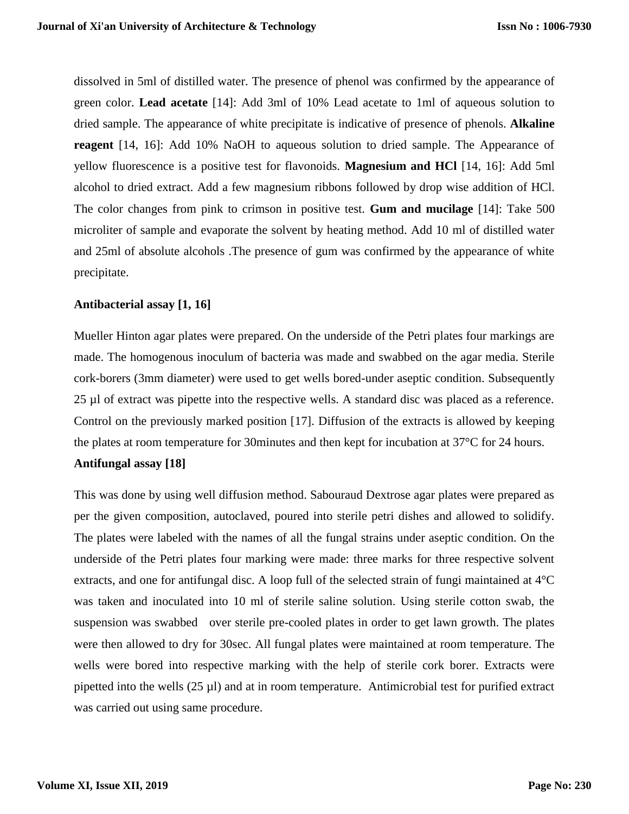dissolved in 5ml of distilled water. The presence of phenol was confirmed by the appearance of green color. **Lead acetate** [14]: Add 3ml of 10% Lead acetate to 1ml of aqueous solution to dried sample. The appearance of white precipitate is indicative of presence of phenols. **Alkaline reagent** [14, 16]: Add 10% NaOH to aqueous solution to dried sample. The Appearance of yellow fluorescence is a positive test for flavonoids. **Magnesium and HCl** [14, 16]: Add 5ml alcohol to dried extract. Add a few magnesium ribbons followed by drop wise addition of HCl. The color changes from pink to crimson in positive test. **Gum and mucilage** [14]: Take 500 microliter of sample and evaporate the solvent by heating method. Add 10 ml of distilled water and 25ml of absolute alcohols .The presence of gum was confirmed by the appearance of white precipitate.

#### **Antibacterial assay [1, 16]**

Mueller Hinton agar plates were prepared. On the underside of the Petri plates four markings are made. The homogenous inoculum of bacteria was made and swabbed on the agar media. Sterile cork-borers (3mm diameter) were used to get wells bored-under aseptic condition. Subsequently 25 µl of extract was pipette into the respective wells. A standard disc was placed as a reference. Control on the previously marked position [17]. Diffusion of the extracts is allowed by keeping the plates at room temperature for 30minutes and then kept for incubation at 37°C for 24 hours.

## **Antifungal assay [18]**

This was done by using well diffusion method. Sabouraud Dextrose agar plates were prepared as per the given composition, autoclaved, poured into sterile petri dishes and allowed to solidify. The plates were labeled with the names of all the fungal strains under aseptic condition. On the underside of the Petri plates four marking were made: three marks for three respective solvent extracts, and one for antifungal disc. A loop full of the selected strain of fungi maintained at 4°C was taken and inoculated into 10 ml of sterile saline solution. Using sterile cotton swab, the suspension was swabbed over sterile pre-cooled plates in order to get lawn growth. The plates were then allowed to dry for 30sec. All fungal plates were maintained at room temperature. The wells were bored into respective marking with the help of sterile cork borer. Extracts were pipetted into the wells (25 µl) and at in room temperature. Antimicrobial test for purified extract was carried out using same procedure.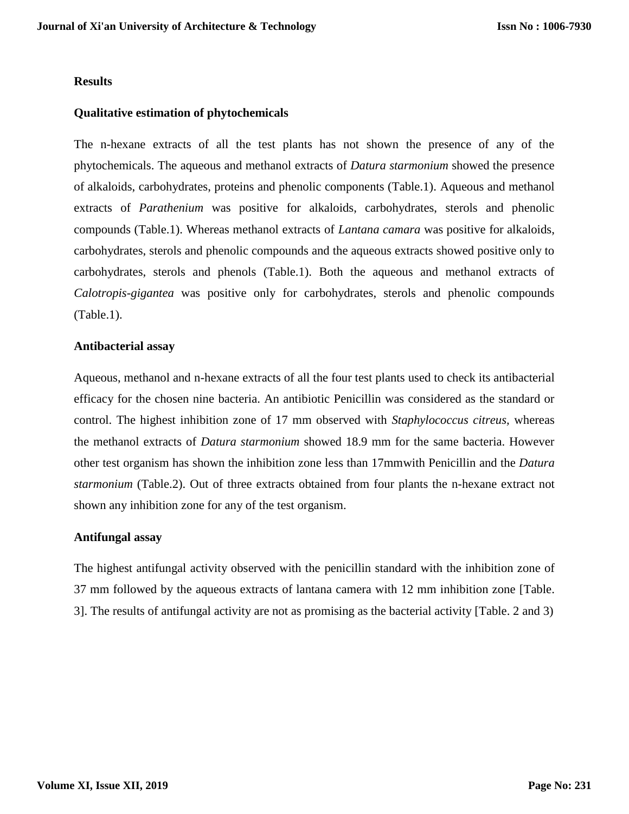#### **Results**

### **Qualitative estimation of phytochemicals**

The n-hexane extracts of all the test plants has not shown the presence of any of the phytochemicals. The aqueous and methanol extracts of *Datura starmonium* showed the presence of alkaloids, carbohydrates, proteins and phenolic components (Table.1). Aqueous and methanol extracts of *Parathenium* was positive for alkaloids, carbohydrates, sterols and phenolic compounds (Table.1). Whereas methanol extracts of *Lantana camara* was positive for alkaloids, carbohydrates, sterols and phenolic compounds and the aqueous extracts showed positive only to carbohydrates, sterols and phenols (Table.1). Both the aqueous and methanol extracts of *Calotropis-gigantea* was positive only for carbohydrates, sterols and phenolic compounds (Table.1).

#### **Antibacterial assay**

Aqueous, methanol and n-hexane extracts of all the four test plants used to check its antibacterial efficacy for the chosen nine bacteria. An antibiotic Penicillin was considered as the standard or control. The highest inhibition zone of 17 mm observed with *Staphylococcus citreus,* whereas the methanol extracts of *Datura starmonium* showed 18.9 mm for the same bacteria. However other test organism has shown the inhibition zone less than 17mmwith Penicillin and the *Datura starmonium* (Table.2). Out of three extracts obtained from four plants the n-hexane extract not shown any inhibition zone for any of the test organism.

## **Antifungal assay**

The highest antifungal activity observed with the penicillin standard with the inhibition zone of 37 mm followed by the aqueous extracts of lantana camera with 12 mm inhibition zone [Table. 3]. The results of antifungal activity are not as promising as the bacterial activity [Table. 2 and 3)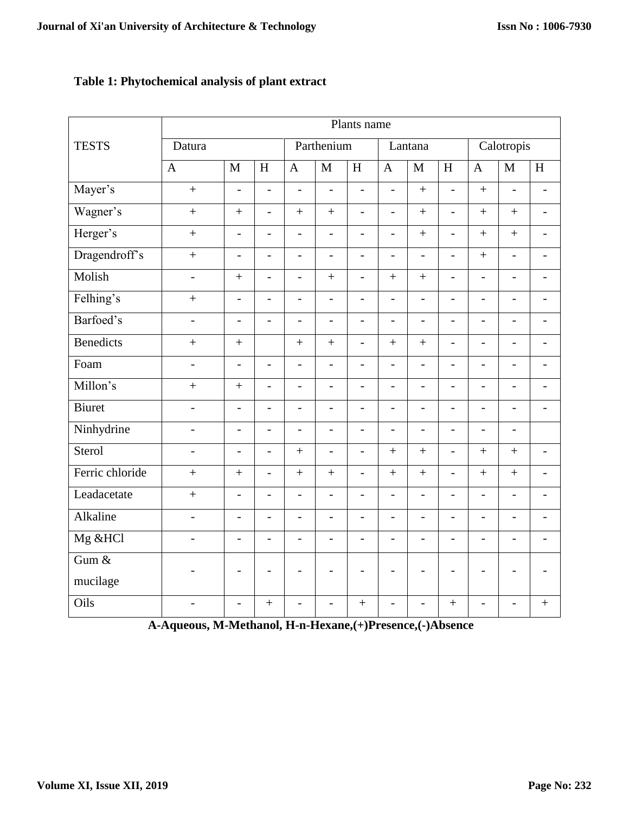## **Table 1: Phytochemical analysis of plant extract**

|                  | Plants name              |                          |                           |                          |                          |                           |                          |                          |                           |                          |                          |                          |
|------------------|--------------------------|--------------------------|---------------------------|--------------------------|--------------------------|---------------------------|--------------------------|--------------------------|---------------------------|--------------------------|--------------------------|--------------------------|
| <b>TESTS</b>     | Datura                   |                          |                           | Parthenium               |                          |                           | Lantana                  |                          |                           | Calotropis               |                          |                          |
|                  | $\mathbf{A}$             | $\mathbf{M}$             | $\boldsymbol{\mathrm{H}}$ | $\mathbf{A}$             | $\mathbf{M}$             | $\boldsymbol{\mathrm{H}}$ | $\overline{A}$           | $\mathbf{M}$             | $\boldsymbol{\mathrm{H}}$ | $\mathbf{A}$             | M                        | H                        |
| Mayer's          | $\ddot{}$                | $\overline{a}$           | $\overline{a}$            | $\overline{\phantom{a}}$ | $\frac{1}{2}$            | $\blacksquare$            | $\overline{a}$           | $\ddot{}$                | $\overline{a}$            | $+$                      | $\overline{\phantom{0}}$ | $\overline{a}$           |
| Wagner's         | $\ddot{}$                | $\ddot{}$                | $\overline{a}$            | $+$                      | $+$                      | $\overline{\phantom{a}}$  | $\overline{\phantom{0}}$ | $+$                      | $\overline{a}$            | $\ddot{}$                | $+$                      | $\overline{\phantom{0}}$ |
| Herger's         | $\ddot{}$                | $\overline{a}$           | $\frac{1}{2}$             | $\overline{a}$           | $\overline{a}$           | $\overline{\phantom{a}}$  | $\overline{a}$           | $\qquad \qquad +$        | $\overline{a}$            | $\ddot{}$                | $+$                      | $\overline{\phantom{a}}$ |
| Dragendroff's    | $\ddot{}$                | $\overline{a}$           | $\frac{1}{2}$             | $\overline{a}$           | $\frac{1}{2}$            | $\overline{\phantom{a}}$  | $\overline{a}$           | $\overline{a}$           | $\frac{1}{2}$             | $\ddot{}$                | $\frac{1}{2}$            | $\overline{a}$           |
| Molish           | $\overline{\phantom{a}}$ | $\ddot{}$                | $\overline{a}$            | $\blacksquare$           | $\ddot{}$                | $\blacksquare$            | $+$                      | $+$                      | $\frac{1}{2}$             | $\overline{a}$           | $\blacksquare$           | $\overline{\phantom{0}}$ |
| Felhing's        | $\ddot{}$                | $\overline{a}$           | $\blacksquare$            | $\overline{a}$           | $\overline{a}$           | $\blacksquare$            | $\overline{a}$           | $\overline{a}$           | $\overline{a}$            | $\overline{\phantom{0}}$ | $\overline{\phantom{a}}$ | $\overline{a}$           |
| Barfoed's        | $\overline{\phantom{a}}$ | $\overline{\phantom{a}}$ | $\overline{\phantom{m}}$  | $\overline{\phantom{a}}$ | $\overline{\phantom{0}}$ | $\overline{\phantom{a}}$  | $\overline{a}$           | $\overline{\phantom{0}}$ | $\overline{\phantom{a}}$  | $\overline{a}$           | $\overline{\phantom{a}}$ | $\blacksquare$           |
| <b>Benedicts</b> | $\ddot{}$                | $\ddot{}$                |                           | $\ddot{}$                | $\ddot{}$                | $\blacksquare$            | $+$                      | $\ddot{}$                | $\overline{a}$            | $\overline{a}$           | $\overline{a}$           | $\blacksquare$           |
| Foam             | $\overline{a}$           | $\overline{a}$           | $\overline{a}$            | $\overline{\phantom{a}}$ | $\overline{a}$           | $\blacksquare$            | $\overline{a}$           | $\overline{a}$           | $\overline{a}$            | $\overline{a}$           | $\blacksquare$           | $\overline{\phantom{0}}$ |
| Millon's         | $\ddot{}$                | $\ddot{}$                | $\overline{a}$            | $\overline{a}$           | $\overline{a}$           | $\overline{\phantom{0}}$  | $\overline{a}$           | $\overline{a}$           | $\overline{a}$            | $\overline{a}$           | $\blacksquare$           | $\overline{a}$           |
| <b>Biuret</b>    | $\overline{a}$           | $\overline{a}$           | $\overline{a}$            | $\overline{a}$           | $\overline{a}$           | $\overline{a}$            | $\overline{a}$           | $\overline{a}$           | $\overline{a}$            | $\overline{a}$           | $\frac{1}{2}$            | $\overline{a}$           |
| Ninhydrine       | $\overline{\phantom{a}}$ | $\overline{a}$           | $\blacksquare$            | $\overline{a}$           | $\overline{a}$           | $\overline{\phantom{a}}$  | $\overline{a}$           | $\overline{\phantom{0}}$ | $\frac{1}{2}$             | $\overline{a}$           | $\frac{1}{2}$            |                          |
| Sterol           | $\overline{a}$           | $\overline{a}$           | $\overline{a}$            | $+$                      | $\overline{a}$           | $\overline{\phantom{0}}$  | $+$                      | $+$                      | $\overline{a}$            | $+$                      | $+$                      | $\overline{a}$           |
| Ferric chloride  | $\ddot{}$                | $\ddot{}$                | $\overline{a}$            | $+$                      | $^{+}$                   | $\overline{\phantom{0}}$  | $+$                      | $\qquad \qquad +$        | $\overline{a}$            | $+$                      | $+$                      | $\overline{\phantom{0}}$ |
| Leadacetate      | $+$                      | $\overline{\phantom{0}}$ | $\overline{a}$            | $\overline{\phantom{a}}$ | $\frac{1}{2}$            | $\overline{\phantom{a}}$  | $\overline{\phantom{0}}$ | $\overline{\phantom{0}}$ | $\overline{\phantom{m}}$  | $\overline{a}$           | $\overline{\phantom{a}}$ | $\overline{\phantom{0}}$ |
| Alkaline         | $\overline{\phantom{a}}$ | $\overline{a}$           | $\overline{a}$            | $\overline{\phantom{a}}$ | $\frac{1}{2}$            | $\overline{\phantom{a}}$  | $\overline{a}$           | $\overline{a}$           | $\overline{a}$            | $\overline{a}$           | $\overline{\phantom{a}}$ | $\overline{\phantom{0}}$ |
| Mg &HCl          | $\overline{a}$           | $\overline{a}$           | $\blacksquare$            | $\overline{a}$           | $\frac{1}{2}$            | $\blacksquare$            | $\overline{a}$           | $\overline{a}$           | $\overline{a}$            | $\overline{a}$           | $\overline{a}$           | $\overline{a}$           |
| Gum $&$          | $\overline{a}$           | -                        | $\overline{\phantom{0}}$  | $\overline{\phantom{a}}$ | $\overline{\phantom{a}}$ | $\overline{\phantom{a}}$  | $\overline{\phantom{a}}$ | $\overline{\phantom{a}}$ | $\overline{\phantom{a}}$  | $\overline{a}$           | $\overline{\phantom{a}}$ | $\overline{a}$           |
| mucilage         |                          |                          |                           |                          |                          |                           |                          |                          |                           |                          |                          |                          |
| Oils             | $\overline{\phantom{0}}$ | $\overline{a}$           | $^{+}$                    | $\overline{\phantom{a}}$ | $\overline{\phantom{0}}$ | $^{+}$                    | $\overline{a}$           | $\overline{a}$           | $+$                       | $\overline{a}$           | $\overline{\phantom{a}}$ | $\ddot{}$                |

**A-Aqueous, M-Methanol, H-n-Hexane,(+)Presence,(-)Absence**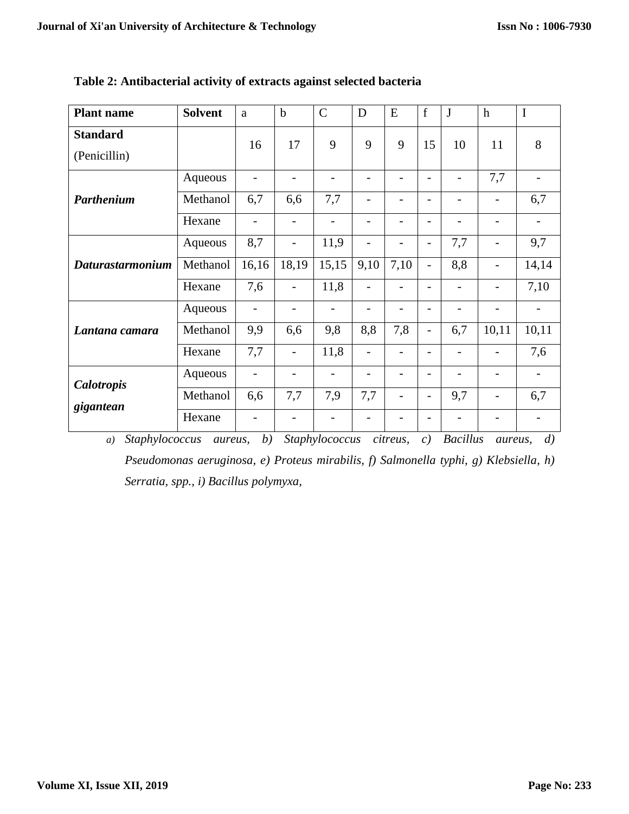| <b>Plant name</b>               | <b>Solvent</b> | a                        | $\mathbf b$              | $\overline{C}$           | D                            | E               | $\mathbf f$              | J                        | $\mathbf h$              | I                        |
|---------------------------------|----------------|--------------------------|--------------------------|--------------------------|------------------------------|-----------------|--------------------------|--------------------------|--------------------------|--------------------------|
| <b>Standard</b><br>(Penicillin) |                | 16                       | 17                       | 9                        | 9                            | 9               | 15                       | 10                       | 11                       | 8                        |
|                                 | Aqueous        | $\overline{\phantom{a}}$ | $\overline{\phantom{0}}$ | -                        | $\overline{a}$               | $\overline{a}$  | $\overline{\phantom{0}}$ | $\overline{\phantom{0}}$ | 7,7                      | $\overline{\phantom{0}}$ |
| Parthenium                      | Methanol       | 6,7                      | 6,6                      | 7,7                      | $\qquad \qquad \blacksquare$ | -               | $\overline{\phantom{0}}$ | $\overline{\phantom{0}}$ | $\overline{\phantom{0}}$ | 6,7                      |
|                                 | Hexane         | $\overline{\phantom{a}}$ | $\overline{\phantom{0}}$ | $\overline{a}$           | $\overline{\phantom{0}}$     |                 | $\overline{\phantom{0}}$ | $\overline{\phantom{0}}$ | $\overline{\phantom{0}}$ | $\overline{\phantom{0}}$ |
| <b>Daturastarmonium</b>         | Aqueous        | 8,7                      | -                        | 11,9                     | -                            |                 |                          | 7,7                      |                          | 9,7                      |
|                                 | Methanol       | 16,16                    | 18,19                    | 15,15                    | 9,10                         | 7,10            | -                        | 8,8                      | $\overline{\phantom{0}}$ | 14,14                    |
|                                 | Hexane         | 7,6                      | $\overline{\phantom{0}}$ | 11,8                     |                              |                 |                          | -                        | -                        | 7,10                     |
| Lantana camara                  | Aqueous        | $\overline{\phantom{a}}$ | -                        | $\overline{\phantom{0}}$ | $\overline{\phantom{0}}$     |                 | $\overline{a}$           | $\overline{\phantom{0}}$ | $\overline{\phantom{0}}$ | $\overline{\phantom{0}}$ |
|                                 | Methanol       | 9,9                      | 6,6                      | 9,8                      | 8,8                          | 7,8             | $\overline{\phantom{0}}$ | 6,7                      | 10,11                    | 10,11                    |
|                                 | Hexane         | 7,7                      | $\overline{\phantom{0}}$ | 11,8                     | $\overline{\phantom{0}}$     | $\overline{a}$  | $\overline{\phantom{0}}$ | $\overline{\phantom{0}}$ | $\overline{\phantom{0}}$ | 7,6                      |
| Calotropis<br>gigantean         | Aqueous        | $\overline{\phantom{a}}$ | $\overline{\phantom{0}}$ | $\overline{\phantom{0}}$ | $\overline{a}$               | $\overline{a}$  | $\overline{a}$           | $\overline{\phantom{0}}$ | $\overline{\phantom{0}}$ | $\qquad \qquad -$        |
|                                 | Methanol       | 6,6                      | 7,7                      | 7,9                      | 7,7                          | $\qquad \qquad$ | -                        | 9,7                      | $\qquad \qquad -$        | 6,7                      |
|                                 | Hexane         | -                        |                          | -                        |                              |                 |                          |                          |                          | -                        |

**Table 2: Antibacterial activity of extracts against selected bacteria**

*a) Staphylococcus aureus, b) Staphylococcus citreus, c) Bacillus aureus, d) Pseudomonas aeruginosa, e) Proteus mirabilis, f) Salmonella typhi, g) Klebsiella, h) Serratia, spp., i) Bacillus polymyxa,*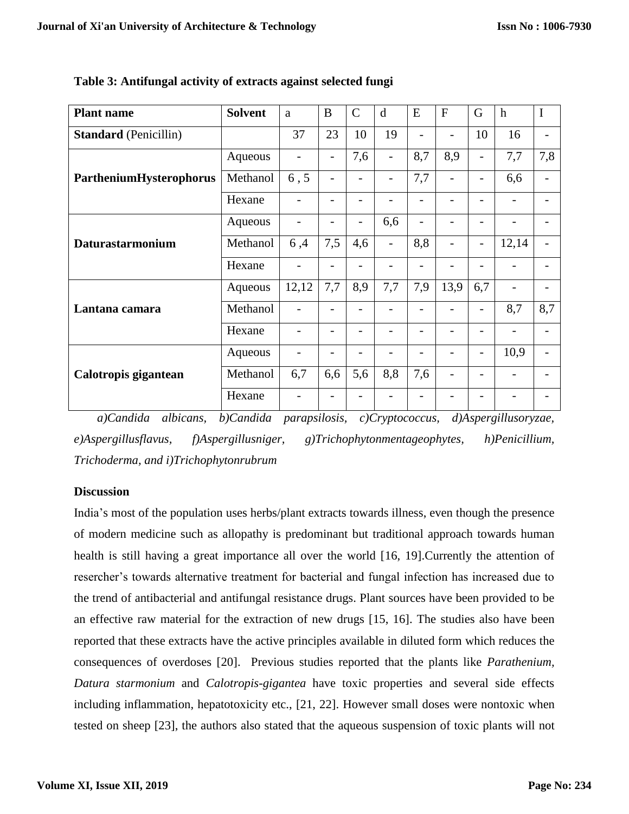| <b>Plant name</b>            | <b>Solvent</b> | a                        | B                        | $\mathcal{C}$  | d                        | E              | F                        | G                        | $\mathbf h$ | $\mathbf I$              |
|------------------------------|----------------|--------------------------|--------------------------|----------------|--------------------------|----------------|--------------------------|--------------------------|-------------|--------------------------|
| <b>Standard</b> (Penicillin) |                | 37                       | 23                       | 10             | 19                       | $\overline{a}$ |                          | 10                       | 16          |                          |
|                              | Aqueous        | $\overline{\phantom{0}}$ | $\overline{\phantom{0}}$ | 7,6            | $\overline{\phantom{0}}$ | 8,7            | 8,9                      |                          | 7,7         | 7,8                      |
| PartheniumHysterophorus      | Methanol       | 6, 5                     | -                        | -              | -                        | 7,7            | -                        |                          | 6,6         | -                        |
|                              | Hexane         |                          |                          |                |                          |                |                          |                          |             |                          |
|                              | Aqueous        |                          |                          |                | 6,6                      |                |                          |                          |             |                          |
| Daturastarmonium             | Methanol       | 6,4                      | 7,5                      | 4,6            | $\overline{\phantom{0}}$ | 8,8            | $\overline{\phantom{a}}$ | $\overline{\phantom{a}}$ | 12,14       |                          |
|                              | Hexane         |                          | $\overline{a}$           |                |                          | $\overline{a}$ |                          |                          |             |                          |
|                              | Aqueous        | 12,12                    | 7,7                      | 8,9            | 7,7                      | 7,9            | 13,9                     | 6,7                      |             |                          |
| Lantana camara               | Methanol       |                          |                          |                |                          |                |                          |                          | 8,7         | 8,7                      |
|                              | Hexane         |                          | -                        |                |                          | $\overline{a}$ |                          |                          |             | $\overline{\phantom{0}}$ |
|                              | Aqueous        | -                        | $\overline{a}$           | $\overline{a}$ |                          | $\overline{a}$ |                          | $\qquad \qquad$          | 10,9        | $\overline{a}$           |
| Calotropis gigantean         | Methanol       | 6,7                      | 6,6                      | 5,6            | 8,8                      | 7,6            |                          |                          |             |                          |
|                              | Hexane         |                          |                          |                |                          |                |                          |                          |             |                          |

**Table 3: Antifungal activity of extracts against selected fungi**

*a)Candida albicans, b)Candida parapsilosis, c)Cryptococcus, d)Aspergillusoryzae, e)Aspergillusflavus, f)Aspergillusniger, g)Trichophytonmentageophytes, h)Penicillium, Trichoderma, and i)Trichophytonrubrum*

## **Discussion**

India's most of the population uses herbs/plant extracts towards illness, even though the presence of modern medicine such as allopathy is predominant but traditional approach towards human health is still having a great importance all over the world [16, 19].Currently the attention of resercher's towards alternative treatment for bacterial and fungal infection has increased due to the trend of antibacterial and antifungal resistance drugs. Plant sources have been provided to be an effective raw material for the extraction of new drugs [15, 16]. The studies also have been reported that these extracts have the active principles available in diluted form which reduces the consequences of overdoses [20]. Previous studies reported that the plants like *Parathenium, Datura starmonium* and *Calotropis-gigantea* have toxic properties and several side effects including inflammation, hepatotoxicity etc., [21, 22]. However small doses were nontoxic when tested on sheep [23], the authors also stated that the aqueous suspension of toxic plants will not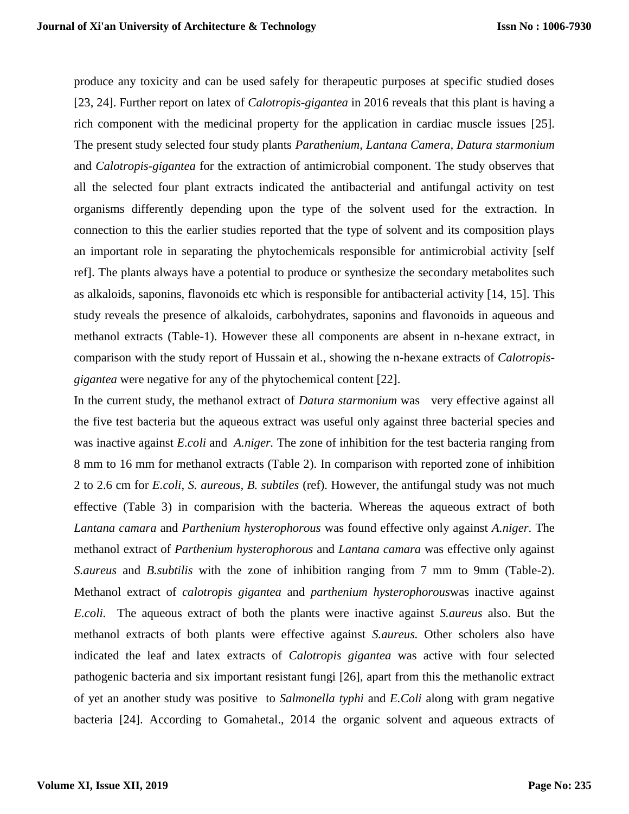produce any toxicity and can be used safely for therapeutic purposes at specific studied doses [23, 24]. Further report on latex of *Calotropis-gigantea* in 2016 reveals that this plant is having a rich component with the medicinal property for the application in cardiac muscle issues [25]. The present study selected four study plants *Parathenium, Lantana Camera, Datura starmonium* and *Calotropis-gigantea* for the extraction of antimicrobial component. The study observes that all the selected four plant extracts indicated the antibacterial and antifungal activity on test organisms differently depending upon the type of the solvent used for the extraction. In connection to this the earlier studies reported that the type of solvent and its composition plays an important role in separating the phytochemicals responsible for antimicrobial activity [self ref]. The plants always have a potential to produce or synthesize the secondary metabolites such as alkaloids, saponins, flavonoids etc which is responsible for antibacterial activity [14, 15]. This study reveals the presence of alkaloids, carbohydrates, saponins and flavonoids in aqueous and methanol extracts (Table-1). However these all components are absent in n-hexane extract, in comparison with the study report of Hussain et al., showing the n-hexane extracts of *Calotropisgigantea* were negative for any of the phytochemical content [22].

In the current study, the methanol extract of *Datura starmonium* was very effective against all the five test bacteria but the aqueous extract was useful only against three bacterial species and was inactive against *E.coli* and *A.niger.* The zone of inhibition for the test bacteria ranging from 8 mm to 16 mm for methanol extracts (Table 2). In comparison with reported zone of inhibition 2 to 2.6 cm for *E.coli, S. aureous, B. subtiles* (ref). However, the antifungal study was not much effective (Table 3) in comparision with the bacteria. Whereas the aqueous extract of both *Lantana camara* and *Parthenium hysterophorous* was found effective only against *A.niger*. The methanol extract of *Parthenium hysterophorous* and *Lantana camara* was effective only against *S.aureus* and *B.subtilis* with the zone of inhibition ranging from 7 mm to 9mm (Table-2). Methanol extract of *calotropis gigantea* and *parthenium hysterophorous*was inactive against *E.coli.* The aqueous extract of both the plants were inactive against *S.aureus* also. But the methanol extracts of both plants were effective against *S.aureus.* Other scholers also have indicated the leaf and latex extracts of *Calotropis gigantea* was active with four selected pathogenic bacteria and six important resistant fungi [26], apart from this the methanolic extract of yet an another study was positive to *Salmonella typhi* and *E.Coli* along with gram negative bacteria [24]. According to Gomahetal., 2014 the organic solvent and aqueous extracts of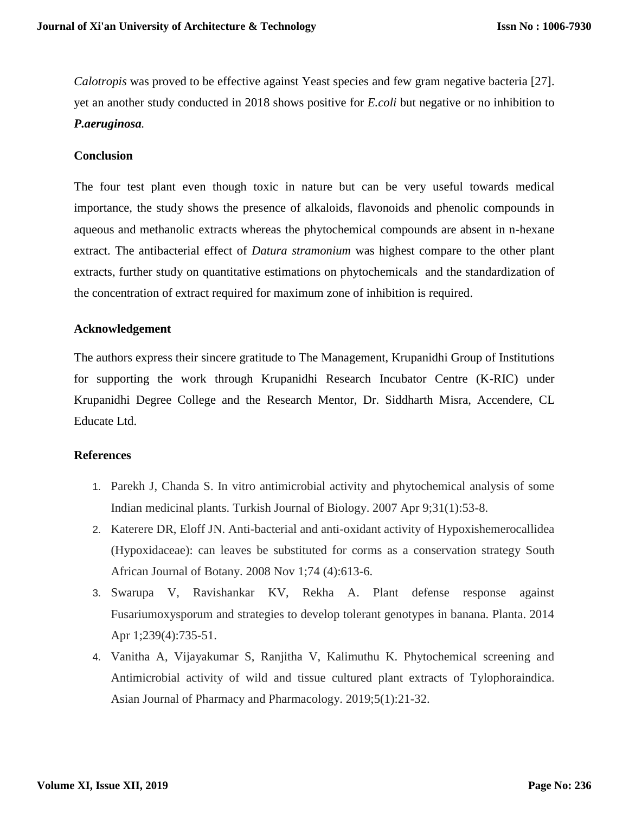*Calotropis* was proved to be effective against Yeast species and few gram negative bacteria [27]. yet an another study conducted in 2018 shows positive for *E.coli* but negative or no inhibition to *P.aeruginosa.*

## **Conclusion**

The four test plant even though toxic in nature but can be very useful towards medical importance, the study shows the presence of alkaloids, flavonoids and phenolic compounds in aqueous and methanolic extracts whereas the phytochemical compounds are absent in n-hexane extract. The antibacterial effect of *Datura stramonium* was highest compare to the other plant extracts, further study on quantitative estimations on phytochemicals and the standardization of the concentration of extract required for maximum zone of inhibition is required.

## **Acknowledgement**

The authors express their sincere gratitude to The Management, Krupanidhi Group of Institutions for supporting the work through Krupanidhi Research Incubator Centre (K-RIC) under Krupanidhi Degree College and the Research Mentor, Dr. Siddharth Misra, Accendere, CL Educate Ltd.

## **References**

- 1. Parekh J, Chanda S. In vitro antimicrobial activity and phytochemical analysis of some Indian medicinal plants. Turkish Journal of Biology. 2007 Apr 9;31(1):53-8.
- 2. Katerere DR, Eloff JN. Anti-bacterial and anti-oxidant activity of Hypoxishemerocallidea (Hypoxidaceae): can leaves be substituted for corms as a conservation strategy South African Journal of Botany. 2008 Nov 1;74 (4):613-6.
- 3. Swarupa V, Ravishankar KV, Rekha A. Plant defense response against Fusariumoxysporum and strategies to develop tolerant genotypes in banana. Planta. 2014 Apr 1;239(4):735-51.
- 4. Vanitha A, Vijayakumar S, Ranjitha V, Kalimuthu K. Phytochemical screening and Antimicrobial activity of wild and tissue cultured plant extracts of Tylophoraindica. Asian Journal of Pharmacy and Pharmacology. 2019;5(1):21-32.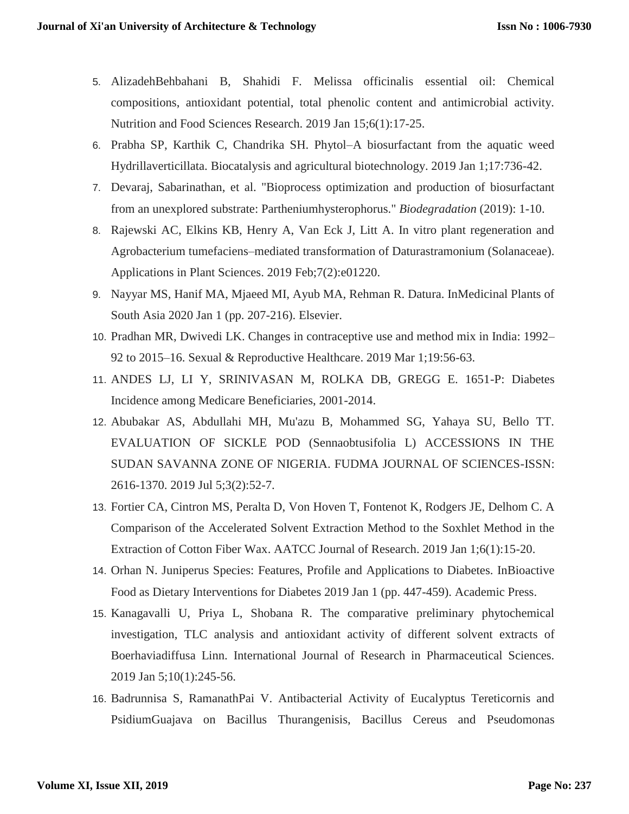- 5. AlizadehBehbahani B, Shahidi F. Melissa officinalis essential oil: Chemical compositions, antioxidant potential, total phenolic content and antimicrobial activity. Nutrition and Food Sciences Research. 2019 Jan 15;6(1):17-25.
- 6. Prabha SP, Karthik C, Chandrika SH. Phytol–A biosurfactant from the aquatic weed Hydrillaverticillata. Biocatalysis and agricultural biotechnology. 2019 Jan 1;17:736-42.
- 7. Devaraj, Sabarinathan, et al. "Bioprocess optimization and production of biosurfactant from an unexplored substrate: Partheniumhysterophorus." *Biodegradation* (2019): 1-10.
- 8. Rajewski AC, Elkins KB, Henry A, Van Eck J, Litt A. In vitro plant regeneration and Agrobacterium tumefaciens–mediated transformation of Daturastramonium (Solanaceae). Applications in Plant Sciences. 2019 Feb;7(2):e01220.
- 9. Nayyar MS, Hanif MA, Mjaeed MI, Ayub MA, Rehman R. Datura. InMedicinal Plants of South Asia 2020 Jan 1 (pp. 207-216). Elsevier.
- 10. Pradhan MR, Dwivedi LK. Changes in contraceptive use and method mix in India: 1992– 92 to 2015–16. Sexual & Reproductive Healthcare. 2019 Mar 1;19:56-63.
- 11. ANDES LJ, LI Y, SRINIVASAN M, ROLKA DB, GREGG E. 1651-P: Diabetes Incidence among Medicare Beneficiaries, 2001-2014.
- 12. Abubakar AS, Abdullahi MH, Mu'azu B, Mohammed SG, Yahaya SU, Bello TT. EVALUATION OF SICKLE POD (Sennaobtusifolia L) ACCESSIONS IN THE SUDAN SAVANNA ZONE OF NIGERIA. FUDMA JOURNAL OF SCIENCES-ISSN: 2616-1370. 2019 Jul 5;3(2):52-7.
- 13. Fortier CA, Cintron MS, Peralta D, Von Hoven T, Fontenot K, Rodgers JE, Delhom C. A Comparison of the Accelerated Solvent Extraction Method to the Soxhlet Method in the Extraction of Cotton Fiber Wax. AATCC Journal of Research. 2019 Jan 1;6(1):15-20.
- 14. Orhan N. Juniperus Species: Features, Profile and Applications to Diabetes. InBioactive Food as Dietary Interventions for Diabetes 2019 Jan 1 (pp. 447-459). Academic Press.
- 15. Kanagavalli U, Priya L, Shobana R. The comparative preliminary phytochemical investigation, TLC analysis and antioxidant activity of different solvent extracts of Boerhaviadiffusa Linn. International Journal of Research in Pharmaceutical Sciences. 2019 Jan 5;10(1):245-56.
- 16. Badrunnisa S, RamanathPai V. Antibacterial Activity of Eucalyptus Tereticornis and PsidiumGuajava on Bacillus Thurangenisis, Bacillus Cereus and Pseudomonas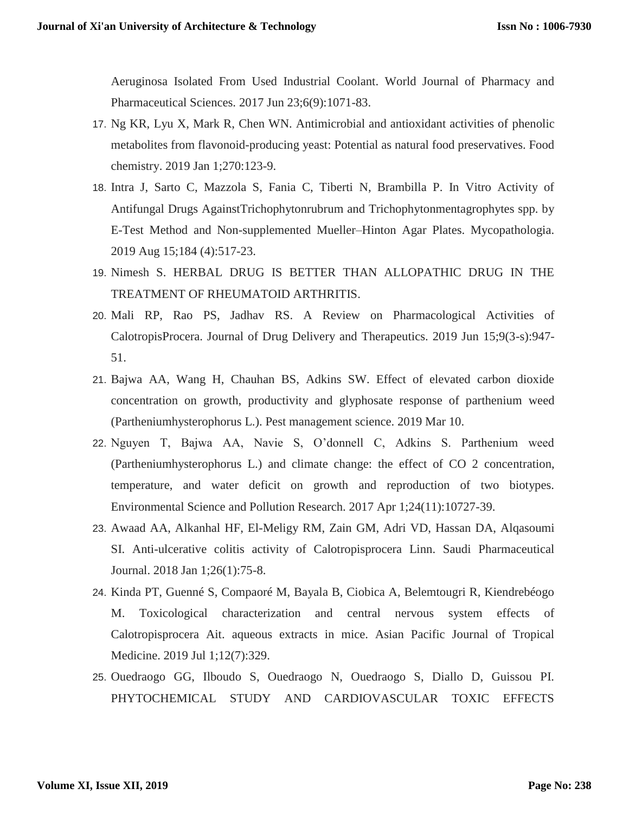Aeruginosa Isolated From Used Industrial Coolant. World Journal of Pharmacy and Pharmaceutical Sciences. 2017 Jun 23;6(9):1071-83.

- 17. Ng KR, Lyu X, Mark R, Chen WN. Antimicrobial and antioxidant activities of phenolic metabolites from flavonoid-producing yeast: Potential as natural food preservatives. Food chemistry. 2019 Jan 1;270:123-9.
- 18. Intra J, Sarto C, Mazzola S, Fania C, Tiberti N, Brambilla P. In Vitro Activity of Antifungal Drugs AgainstTrichophytonrubrum and Trichophytonmentagrophytes spp. by E-Test Method and Non-supplemented Mueller–Hinton Agar Plates. Mycopathologia. 2019 Aug 15;184 (4):517-23.
- 19. Nimesh S. HERBAL DRUG IS BETTER THAN ALLOPATHIC DRUG IN THE TREATMENT OF RHEUMATOID ARTHRITIS.
- 20. Mali RP, Rao PS, Jadhav RS. A Review on Pharmacological Activities of CalotropisProcera. Journal of Drug Delivery and Therapeutics. 2019 Jun 15;9(3-s):947- 51.
- 21. Bajwa AA, Wang H, Chauhan BS, Adkins SW. Effect of elevated carbon dioxide concentration on growth, productivity and glyphosate response of parthenium weed (Partheniumhysterophorus L.). Pest management science. 2019 Mar 10.
- 22. Nguyen T, Bajwa AA, Navie S, O'donnell C, Adkins S. Parthenium weed (Partheniumhysterophorus L.) and climate change: the effect of CO 2 concentration, temperature, and water deficit on growth and reproduction of two biotypes. Environmental Science and Pollution Research. 2017 Apr 1;24(11):10727-39.
- 23. Awaad AA, Alkanhal HF, El-Meligy RM, Zain GM, Adri VD, Hassan DA, Alqasoumi SI. Anti-ulcerative colitis activity of Calotropisprocera Linn. Saudi Pharmaceutical Journal. 2018 Jan 1;26(1):75-8.
- 24. Kinda PT, Guenné S, Compaoré M, Bayala B, Ciobica A, Belemtougri R, Kiendrebéogo M. Toxicological characterization and central nervous system effects of Calotropisprocera Ait. aqueous extracts in mice. Asian Pacific Journal of Tropical Medicine. 2019 Jul 1;12(7):329.
- 25. Ouedraogo GG, Ilboudo S, Ouedraogo N, Ouedraogo S, Diallo D, Guissou PI. PHYTOCHEMICAL STUDY AND CARDIOVASCULAR TOXIC EFFECTS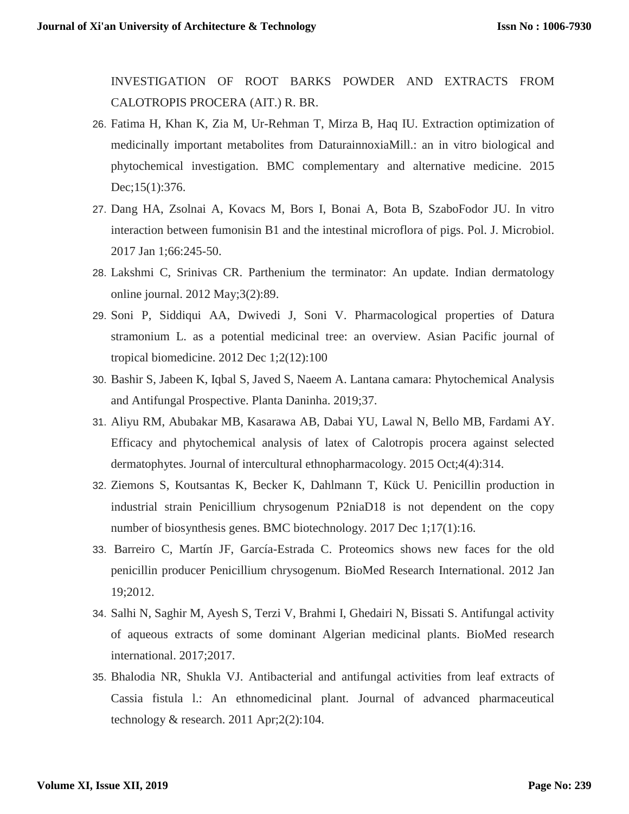INVESTIGATION OF ROOT BARKS POWDER AND EXTRACTS FROM CALOTROPIS PROCERA (AIT.) R. BR.

- 26. Fatima H, Khan K, Zia M, Ur-Rehman T, Mirza B, Haq IU. Extraction optimization of medicinally important metabolites from DaturainnoxiaMill.: an in vitro biological and phytochemical investigation. BMC complementary and alternative medicine. 2015 Dec;15(1):376.
- 27. Dang HA, Zsolnai A, Kovacs M, Bors I, Bonai A, Bota B, SzaboFodor JU. In vitro interaction between fumonisin B1 and the intestinal microflora of pigs. Pol. J. Microbiol. 2017 Jan 1;66:245-50.
- 28. Lakshmi C, Srinivas CR. Parthenium the terminator: An update. Indian dermatology online journal. 2012 May;3(2):89.
- 29. Soni P, Siddiqui AA, Dwivedi J, Soni V. Pharmacological properties of Datura stramonium L. as a potential medicinal tree: an overview. Asian Pacific journal of tropical biomedicine. 2012 Dec 1;2(12):100
- 30. Bashir S, Jabeen K, Iqbal S, Javed S, Naeem A. Lantana camara: Phytochemical Analysis and Antifungal Prospective. Planta Daninha. 2019;37.
- 31. Aliyu RM, Abubakar MB, Kasarawa AB, Dabai YU, Lawal N, Bello MB, Fardami AY. Efficacy and phytochemical analysis of latex of Calotropis procera against selected dermatophytes. Journal of intercultural ethnopharmacology. 2015 Oct;4(4):314.
- 32. Ziemons S, Koutsantas K, Becker K, Dahlmann T, Kück U. Penicillin production in industrial strain Penicillium chrysogenum P2niaD18 is not dependent on the copy number of biosynthesis genes. BMC biotechnology. 2017 Dec 1;17(1):16.
- 33. Barreiro C, Martín JF, García-Estrada C. Proteomics shows new faces for the old penicillin producer Penicillium chrysogenum. BioMed Research International. 2012 Jan 19;2012.
- 34. Salhi N, Saghir M, Ayesh S, Terzi V, Brahmi I, Ghedairi N, Bissati S. Antifungal activity of aqueous extracts of some dominant Algerian medicinal plants. BioMed research international. 2017;2017.
- 35. Bhalodia NR, Shukla VJ. Antibacterial and antifungal activities from leaf extracts of Cassia fistula l.: An ethnomedicinal plant. Journal of advanced pharmaceutical technology  $&$  research. 2011 Apr; 2(2): 104.